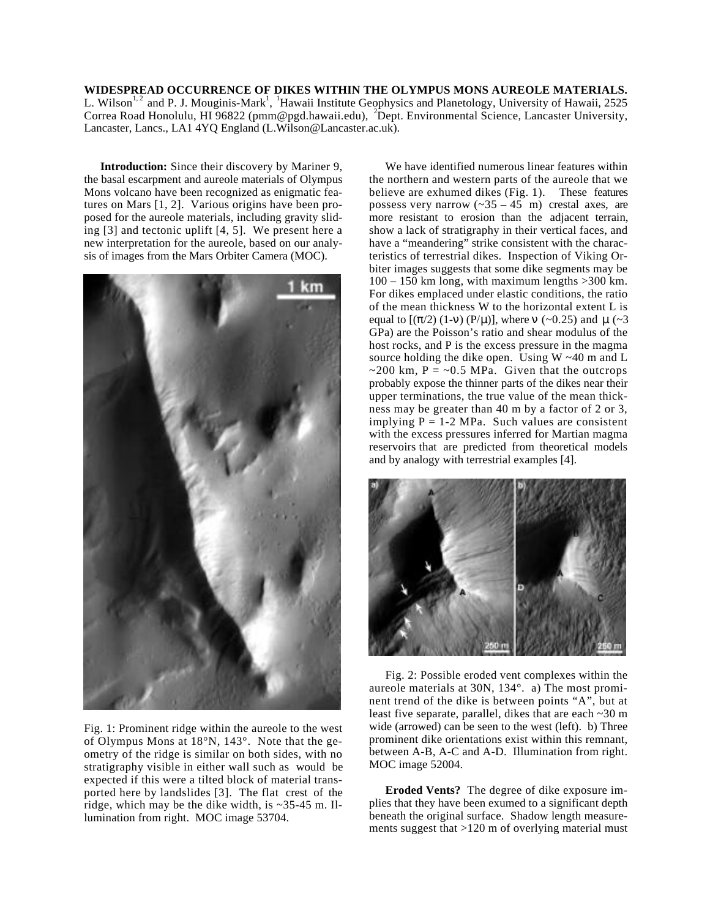**WIDESPREAD OCCURRENCE OF DIKES WITHIN THE OLYMPUS MONS AUREOLE MATERIALS.** L. Wilson<sup>1,2</sup> and P. J. Mouginis-Mark<sup>1</sup>, <sup>1</sup>Hawaii Institute Geophysics and Planetology, University of Hawaii, 2525 Correa Road Honolulu, HI 96822 (pmm@pgd.hawaii.edu), <sup>2</sup>Dept. Environmental Science, Lancaster University, Lancaster, Lancs., LA1 4YQ England (L.Wilson@Lancaster.ac.uk).

**Introduction:** Since their discovery by Mariner 9, the basal escarpment and aureole materials of Olympus Mons volcano have been recognized as enigmatic features on Mars [1, 2]. Various origins have been proposed for the aureole materials, including gravity sliding [3] and tectonic uplift [4, 5]. We present here a new interpretation for the aureole, based on our analysis of images from the Mars Orbiter Camera (MOC).



Fig. 1: Prominent ridge within the aureole to the west of Olympus Mons at 18°N, 143°. Note that the geometry of the ridge is similar on both sides, with no stratigraphy visible in either wall such as would be expected if this were a tilted block of material transported here by landslides [3]. The flat crest of the ridge, which may be the dike width, is  $\sim$ 35-45 m. Illumination from right. MOC image 53704.

We have identified numerous linear features within the northern and western parts of the aureole that we believe are exhumed dikes (Fig. 1). These features possess very narrow  $({\sim}35 - 45)$  m crestal axes, are more resistant to erosion than the adjacent terrain, show a lack of stratigraphy in their vertical faces, and have a "meandering" strike consistent with the characteristics of terrestrial dikes. Inspection of Viking Orbiter images suggests that some dike segments may be  $100 - 150$  km long, with maximum lengths  $>300$  km. For dikes emplaced under elastic conditions, the ratio of the mean thickness W to the horizontal extent L is equal to  $[$  ( /2) (1- ) (P/ $\mu$ ), where (~0.25) and  $\mu$ (~3) GPa) are the Poisson's ratio and shear modulus of the host rocks, and P is the excess pressure in the magma source holding the dike open. Using  $W \sim 40$  m and L  $\sim$ 200 km, P =  $\sim$ 0.5 MPa. Given that the outcrops probably expose the thinner parts of the dikes near their upper terminations, the true value of the mean thickness may be greater than 40 m by a factor of 2 or 3, implying  $P = 1-2$  MPa. Such values are consistent with the excess pressures inferred for Martian magma reservoirs that are predicted from theoretical models and by analogy with terrestrial examples [4].



Fig. 2: Possible eroded vent complexes within the aureole materials at 30N, 134°. a) The most prominent trend of the dike is between points "A", but at least five separate, parallel, dikes that are each ~30 m wide (arrowed) can be seen to the west (left). b) Three prominent dike orientations exist within this remnant, between A-B, A-C and A-D. Illumination from right. MOC image 52004.

**Eroded Vents?** The degree of dike exposure implies that they have been exumed to a significant depth beneath the original surface. Shadow length measurements suggest that >120 m of overlying material must